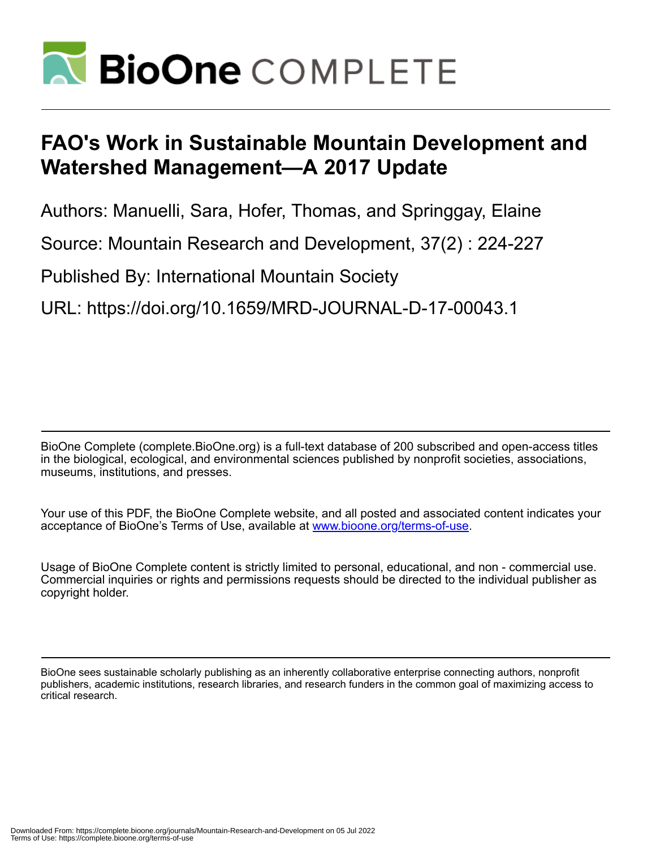

# **FAO's Work in Sustainable Mountain Development and Watershed Management—A 2017 Update**

Authors: Manuelli, Sara, Hofer, Thomas, and Springgay, Elaine

Source: Mountain Research and Development, 37(2) : 224-227

Published By: International Mountain Society

URL: https://doi.org/10.1659/MRD-JOURNAL-D-17-00043.1

BioOne Complete (complete.BioOne.org) is a full-text database of 200 subscribed and open-access titles in the biological, ecological, and environmental sciences published by nonprofit societies, associations, museums, institutions, and presses.

Your use of this PDF, the BioOne Complete website, and all posted and associated content indicates your acceptance of BioOne's Terms of Use, available at www.bioone.org/terms-of-use.

Usage of BioOne Complete content is strictly limited to personal, educational, and non - commercial use. Commercial inquiries or rights and permissions requests should be directed to the individual publisher as copyright holder.

BioOne sees sustainable scholarly publishing as an inherently collaborative enterprise connecting authors, nonprofit publishers, academic institutions, research libraries, and research funders in the common goal of maximizing access to critical research.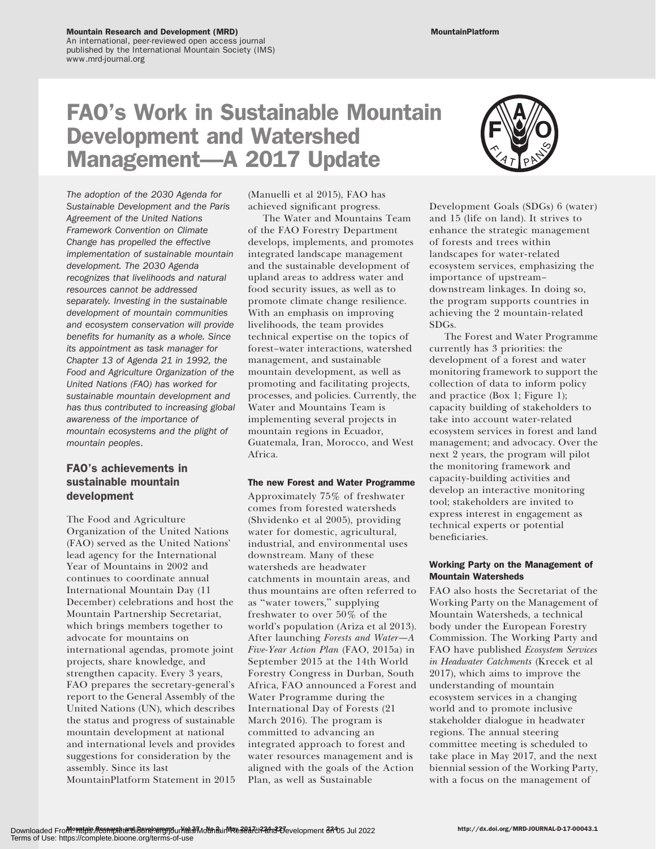An international, peer-reviewed open access journal published by the International Mountain Society (IMS) www.mrd-journal.org

## FAO's Work in Sustainable Mountain Development and Watershed Management—A 2017 Update

The adoption of the 2030 Agenda for Sustainable Development and the Paris Agreement of the United Nations Framework Convention on Climate Change has propelled the effective implementation of sustainable mountain development. The 2030 Agenda recognizes that livelihoods and natural resources cannot be addressed separately. Investing in the sustainable development of mountain communities and ecosystem conservation will provide benefits for humanity as a whole. Since its appointment as task manager for Chapter 13 of Agenda 21 in 1992, the Food and Agriculture Organization of the United Nations (FAO) has worked for sustainable mountain development and has thus contributed to increasing global awareness of the importance of mountain ecosystems and the plight of mountain peoples.

## FAO's achievements in sustainable mountain development

The Food and Agriculture Organization of the United Nations (FAO) served as the United Nations' lead agency for the International Year of Mountains in 2002 and continues to coordinate annual International Mountain Day (11 December) celebrations and host the Mountain Partnership Secretariat, which brings members together to advocate for mountains on international agendas, promote joint projects, share knowledge, and strengthen capacity. Every 3 years, FAO prepares the secretary-general's report to the General Assembly of the United Nations (UN), which describes the status and progress of sustainable mountain development at national and international levels and provides suggestions for consideration by the assembly. Since its last MountainPlatform Statement in 2015

(Manuelli et al 2015), FAO has achieved significant progress.

The Water and Mountains Team of the FAO Forestry Department develops, implements, and promotes integrated landscape management and the sustainable development of upland areas to address water and food security issues, as well as to promote climate change resilience. With an emphasis on improving livelihoods, the team provides technical expertise on the topics of forest–water interactions, watershed management, and sustainable mountain development, as well as promoting and facilitating projects, processes, and policies. Currently, the Water and Mountains Team is implementing several projects in mountain regions in Ecuador, Guatemala, Iran, Morocco, and West Africa.

#### The new Forest and Water Programme

Approximately 75% of freshwater comes from forested watersheds (Shvidenko et al 2005), providing water for domestic, agricultural, industrial, and environmental uses downstream. Many of these watersheds are headwater catchments in mountain areas, and thus mountains are often referred to as ''water towers,'' supplying freshwater to over 50% of the world's population (Ariza et al 2013). After launching Forests and Water—A Five-Year Action Plan (FAO, 2015a) in September 2015 at the 14th World Forestry Congress in Durban, South Africa, FAO announced a Forest and Water Programme during the International Day of Forests (21 March 2016). The program is committed to advancing an integrated approach to forest and water resources management and is aligned with the goals of the Action Plan, as well as Sustainable



Development Goals (SDGs) 6 (water) and 15 (life on land). It strives to enhance the strategic management of forests and trees within landscapes for water-related ecosystem services, emphasizing the importance of upstream– downstream linkages. In doing so, the program supports countries in achieving the 2 mountain-related SDGs.

The Forest and Water Programme currently has 3 priorities: the development of a forest and water monitoring framework to support the collection of data to inform policy and practice (Box 1; Figure 1); capacity building of stakeholders to take into account water-related ecosystem services in forest and land management; and advocacy. Over the next 2 years, the program will pilot the monitoring framework and capacity-building activities and develop an interactive monitoring tool; stakeholders are invited to express interest in engagement as technical experts or potential beneficiaries.

## Working Party on the Management of Mountain Watersheds

FAO also hosts the Secretariat of the Working Party on the Management of Mountain Watersheds, a technical body under the European Forestry Commission. The Working Party and FAO have published Ecosystem Services in Headwater Catchments (Krecek et al 2017), which aims to improve the understanding of mountain ecosystem services in a changing world and to promote inclusive stakeholder dialogue in headwater regions. The annual steering committee meeting is scheduled to take place in May 2017, and the next biennial session of the Working Party, with a focus on the management of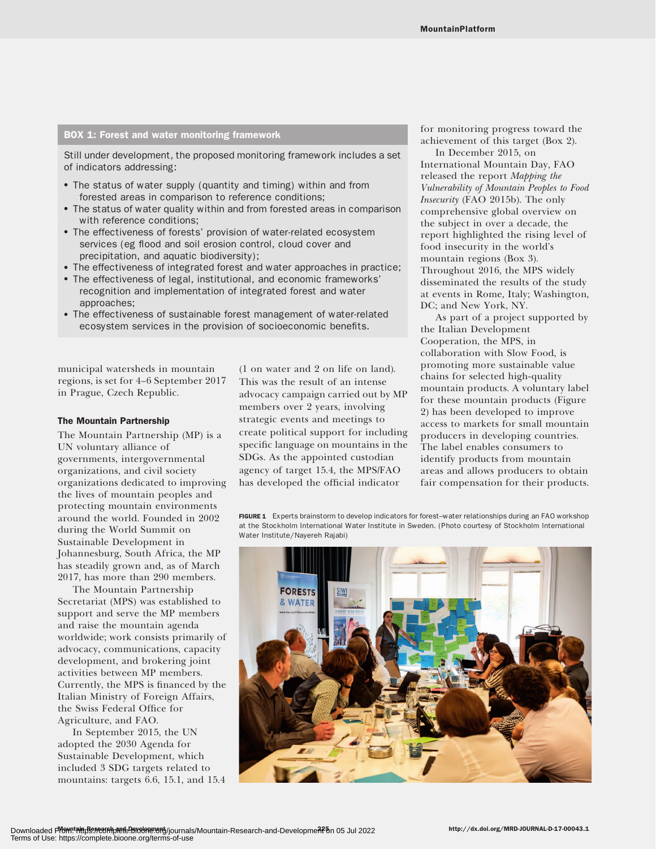## BOX 1: Forest and water monitoring framework

Still under development, the proposed monitoring framework includes a set of indicators addressing:

- The status of water supply (quantity and timing) within and from forested areas in comparison to reference conditions;
- The status of water quality within and from forested areas in comparison with reference conditions;
- The effectiveness of forests' provision of water-related ecosystem services (eg flood and soil erosion control, cloud cover and precipitation, and aquatic biodiversity);
- The effectiveness of integrated forest and water approaches in practice;
- The effectiveness of legal, institutional, and economic frameworks' recognition and implementation of integrated forest and water approaches;
- The effectiveness of sustainable forest management of water-related ecosystem services in the provision of socioeconomic benefits.

municipal watersheds in mountain regions, is set for 4–6 September 2017 in Prague, Czech Republic.

#### The Mountain Partnership

The Mountain Partnership (MP) is a UN voluntary alliance of governments, intergovernmental organizations, and civil society organizations dedicated to improving the lives of mountain peoples and protecting mountain environments around the world. Founded in 2002 during the World Summit on Sustainable Development in Johannesburg, South Africa, the MP has steadily grown and, as of March 2017, has more than 290 members.

The Mountain Partnership Secretariat (MPS) was established to support and serve the MP members and raise the mountain agenda worldwide; work consists primarily of advocacy, communications, capacity development, and brokering joint activities between MP members. Currently, the MPS is financed by the Italian Ministry of Foreign Affairs, the Swiss Federal Office for Agriculture, and FAO.

In September 2015, the UN adopted the 2030 Agenda for Sustainable Development, which included 3 SDG targets related to mountains: targets 6.6, 15.1, and 15.4 (1 on water and 2 on life on land). This was the result of an intense advocacy campaign carried out by MP members over 2 years, involving strategic events and meetings to create political support for including specific language on mountains in the SDGs. As the appointed custodian agency of target 15.4, the MPS/FAO has developed the official indicator

for monitoring progress toward the achievement of this target (Box 2).

In December 2015, on International Mountain Day, FAO released the report Mapping the Vulnerability of Mountain Peoples to Food Insecurity (FAO 2015b). The only comprehensive global overview on the subject in over a decade, the report highlighted the rising level of food insecurity in the world's mountain regions (Box 3). Throughout 2016, the MPS widely disseminated the results of the study at events in Rome, Italy; Washington, DC; and New York, NY.

As part of a project supported by the Italian Development Cooperation, the MPS, in collaboration with Slow Food, is promoting more sustainable value chains for selected high-quality mountain products. A voluntary label for these mountain products (Figure 2) has been developed to improve access to markets for small mountain producers in developing countries. The label enables consumers to identify products from mountain areas and allows producers to obtain fair compensation for their products.

FIGURE 1 Experts brainstorm to develop indicators for forest–water relationships during an FAO workshop at the Stockholm International Water Institute in Sweden. (Photo courtesy of Stockholm International Water Institute/Nayereh Rajabi)

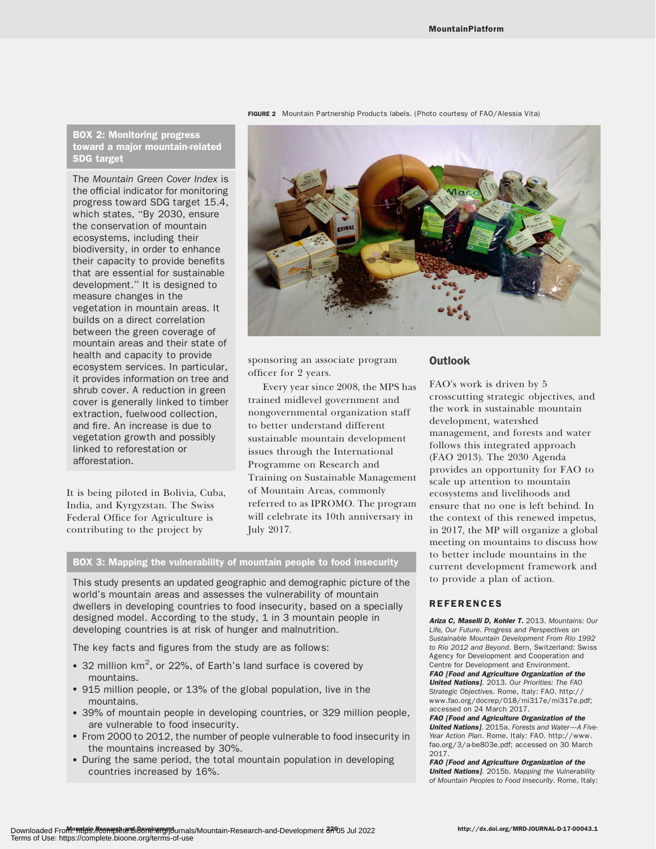## BOX 2: Monitoring progress toward a major mountain-related SDG target

The Mountain Green Cover Index is the official indicator for monitoring progress toward SDG target 15.4, which states, "By 2030, ensure the conservation of mountain ecosystems, including their biodiversity, in order to enhance their capacity to provide benefits that are essential for sustainable development.'' It is designed to measure changes in the vegetation in mountain areas. It builds on a direct correlation between the green coverage of mountain areas and their state of health and capacity to provide ecosystem services. In particular, it provides information on tree and shrub cover. A reduction in green cover is generally linked to timber extraction, fuelwood collection, and fire. An increase is due to vegetation growth and possibly linked to reforestation or afforestation.

It is being piloted in Bolivia, Cuba, India, and Kyrgyzstan. The Swiss Federal Office for Agriculture is contributing to the project by



sponsoring an associate program officer for 2 years.

Every year since 2008, the MPS has trained midlevel government and nongovernmental organization staff to better understand different sustainable mountain development issues through the International Programme on Research and Training on Sustainable Management of Mountain Areas, commonly referred to as IPROMO. The program will celebrate its 10th anniversary in July 2017.

## BOX 3: Mapping the vulnerability of mountain people to food insecurity

This study presents an updated geographic and demographic picture of the world's mountain areas and assesses the vulnerability of mountain dwellers in developing countries to food insecurity, based on a specially designed model. According to the study, 1 in 3 mountain people in developing countries is at risk of hunger and malnutrition.

The key facts and figures from the study are as follows:

- 32 million  $km^2$ , or 22%, of Earth's land surface is covered by mountains.
- 915 million people, or 13% of the global population, live in the mountains.
- 39% of mountain people in developing countries, or 329 million people, are vulnerable to food insecurity.
- From 2000 to 2012, the number of people vulnerable to food insecurity in the mountains increased by 30%.
- During the same period, the total mountain population in developing countries increased by 16%.

### **Outlook**

FAO's work is driven by 5 crosscutting strategic objectives, and the work in sustainable mountain development, watershed management, and forests and water follows this integrated approach (FAO 2013). The 2030 Agenda provides an opportunity for FAO to scale up attention to mountain ecosystems and livelihoods and ensure that no one is left behind. In the context of this renewed impetus, in 2017, the MP will organize a global meeting on mountains to discuss how to better include mountains in the current development framework and to provide a plan of action.

## REFERENCES

Ariza C, Maselli D, Kohler T. 2013. Mountains: Our Life, Our Future. Progress and Perspectives on Sustainable Mountain Development From Rio 1992 to Rio 2012 and Beyond. Bern, Switzerland: Swiss Agency for Development and Cooperation and Centre for Development and Environment. FAO [Food and Agriculture Organization of the United Nations]. 2013. Our Priorities: The FAO Strategic Objectives. Rome, Italy: FAO. [http://](http://www.fao.org/docrep/018/mi317e/mi317e.pdf) [www.fao.org/docrep/018/mi317e/mi317e.pdf;](http://www.fao.org/docrep/018/mi317e/mi317e.pdf) accessed on 24 March 2017.

FAO [Food and Agriculture Organization of the United Nations]. 2015a. Forests and Water-A Five-Year Action Plan. Rome, Italy: FAO. [http://www.](http://www.fao.org/3/a-be803e.pdf) [fao.org/3/a-be803e.pdf;](http://www.fao.org/3/a-be803e.pdf) accessed on 30 March 2017.

FAO [Food and Agriculture Organization of the United Nations]. 2015b. Mapping the Vulnerability of Mountain Peoples to Food Insecurity. Rome, Italy:

FIGURE 2 Mountain Partnership Products labels. (Photo courtesy of FAO/Alessia Vita)